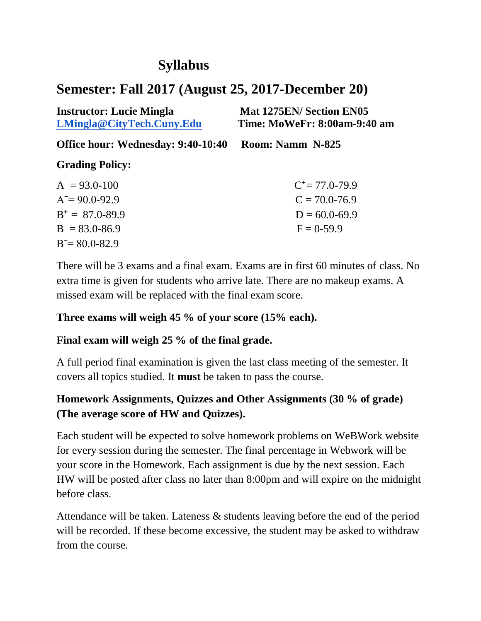# **Syllabus**

## **Semester: Fall 2017 (August 25, 2017-December 20)**

| <b>Instructor: Lucie Mingla</b><br>LMingla@CityTech.Cuny.Edu | Mat 1275EN/Section EN05<br>Time: MoWeFr: 8:00am-9:40 am |
|--------------------------------------------------------------|---------------------------------------------------------|
| Office hour: Wednesday: 9:40-10:40                           | <b>Room: Namm N-825</b>                                 |
| <b>Grading Policy:</b>                                       |                                                         |
| $A = 93.0 - 100$                                             | $C^+=$ 77.0-79.9                                        |
| $A = 90.0 - 92.9$                                            | $C = 70.0 - 76.9$                                       |
| $B^* = 87.0 - 89.9$                                          | $D = 60.0 - 69.9$                                       |
| $B = 83.0 - 86.9$                                            | $F = 0.59.9$                                            |
| $B = 80.0 - 82.9$                                            |                                                         |

There will be 3 exams and a final exam. Exams are in first 60 minutes of class. No extra time is given for students who arrive late. There are no makeup exams. A missed exam will be replaced with the final exam score.

#### **Three exams will weigh 45 % of your score (15% each).**

### **Final exam will weigh 25 % of the final grade.**

A full period final examination is given the last class meeting of the semester. It covers all topics studied. It **must** be taken to pass the course.

## **Homework Assignments, Quizzes and Other Assignments (30 % of grade) (The average score of HW and Quizzes).**

Each student will be expected to solve homework problems on WeBWork website for every session during the semester. The final percentage in Webwork will be your score in the Homework. Each assignment is due by the next session. Each HW will be posted after class no later than 8:00pm and will expire on the midnight before class.

Attendance will be taken. Lateness & students leaving before the end of the period will be recorded. If these become excessive, the student may be asked to withdraw from the course.